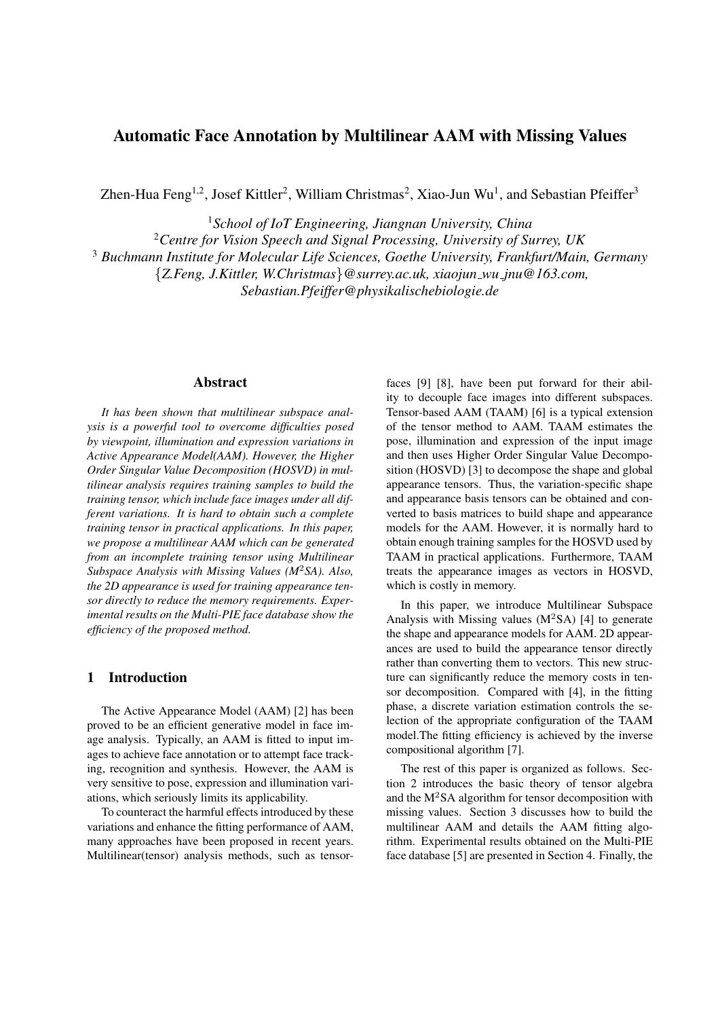# Automatic Face Annotation by Multilinear AAM with Missing Values

Zhen-Hua Feng<sup>1,2</sup>, Josef Kittler<sup>2</sup>, William Christmas<sup>2</sup>, Xiao-Jun Wu<sup>1</sup>, and Sebastian Pfeiffer<sup>3</sup>

<sup>1</sup>*School of IoT Engineering, Jiangnan University, China*

<sup>2</sup>*Centre for Vision Speech and Signal Processing, University of Surrey, UK*

<sup>3</sup> *Buchmann Institute for Molecular Life Sciences, Goethe University, Frankfurt/Main, Germany*

*{Z.Feng, J.Kittler, W.Christmas}@surrey.ac.uk, xiaojun wu jnu@163.com,*

*Sebastian.Pfeiffer@physikalischebiologie.de*

### Abstract

*It has been shown that multilinear subspace analysis is a powerful tool to overcome difficulties posed by viewpoint, illumination and expression variations in Active Appearance Model(AAM). However, the Higher Order Singular Value Decomposition (HOSVD) in multilinear analysis requires training samples to build the training tensor, which include face images under all different variations. It is hard to obtain such a complete training tensor in practical applications. In this paper, we propose a multilinear AAM which can be generated from an incomplete training tensor using Multilinear Subspace Analysis with Missing Values (M*<sup>2</sup>*SA). Also, the 2D appearance is used for training appearance tensor directly to reduce the memory requirements. Experimental results on the Multi-PIE face database show the efficiency of the proposed method.*

# 1 Introduction

The Active Appearance Model (AAM) [2] has been proved to be an efficient generative model in face image analysis. Typically, an AAM is fitted to input images to achieve face annotation or to attempt face tracking, recognition and synthesis. However, the AAM is very sensitive to pose, expression and illumination variations, which seriously limits its applicability.

To counteract the harmful effects introduced by these variations and enhance the fitting performance of AAM, many approaches have been proposed in recent years. Multilinear(tensor) analysis methods, such as tensorfaces [9] [8], have been put forward for their ability to decouple face images into different subspaces. Tensor-based AAM (TAAM) [6] is a typical extension of the tensor method to AAM. TAAM estimates the pose, illumination and expression of the input image and then uses Higher Order Singular Value Decomposition (HOSVD) [3] to decompose the shape and global appearance tensors. Thus, the variation-specific shape and appearance basis tensors can be obtained and converted to basis matrices to build shape and appearance models for the AAM. However, it is normally hard to obtain enough training samples for the HOSVD used by TAAM in practical applications. Furthermore, TAAM treats the appearance images as vectors in HOSVD, which is costly in memory.

In this paper, we introduce Multilinear Subspace Analysis with Missing values  $(M^2SA)$  [4] to generate the shape and appearance models for AAM. 2D appearances are used to build the appearance tensor directly rather than converting them to vectors. This new structure can significantly reduce the memory costs in tensor decomposition. Compared with [4], in the fitting phase, a discrete variation estimation controls the selection of the appropriate configuration of the TAAM model.The fitting efficiency is achieved by the inverse compositional algorithm [7].

The rest of this paper is organized as follows. Section 2 introduces the basic theory of tensor algebra and the  $M<sup>2</sup>SA$  algorithm for tensor decomposition with missing values. Section 3 discusses how to build the multilinear AAM and details the AAM fitting algorithm. Experimental results obtained on the Multi-PIE face database [5] are presented in Section 4. Finally, the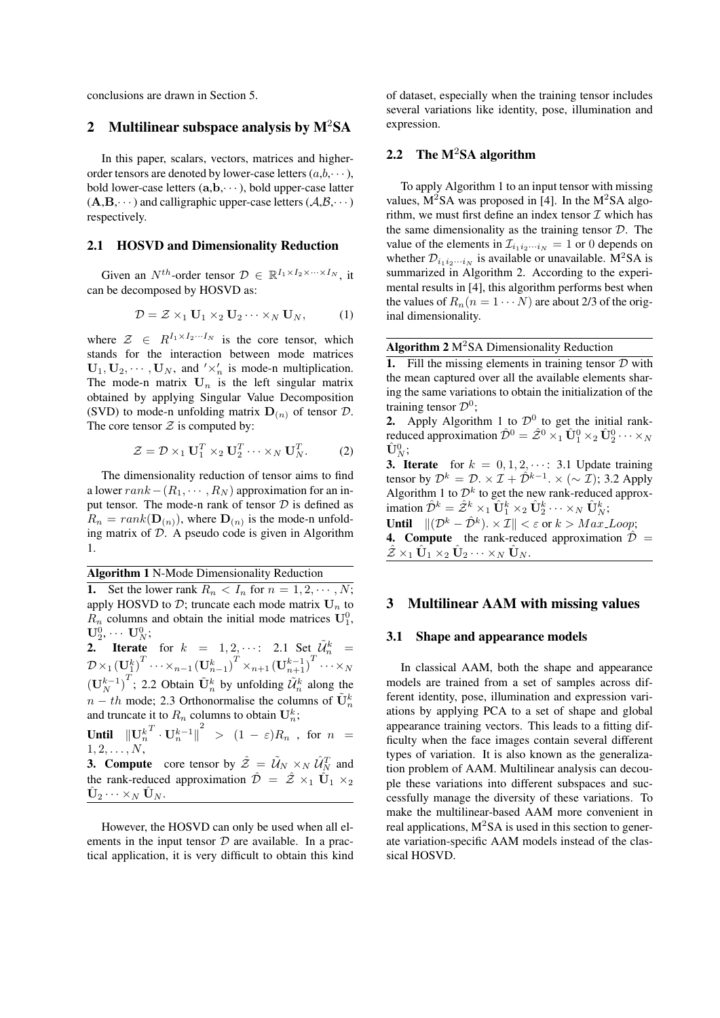conclusions are drawn in Section 5.

### 2 Multilinear subspace analysis by  $M^2SA$

In this paper, scalars, vectors, matrices and higherorder tensors are denoted by lower-case letters  $(a,b,\dots)$ , bold lower-case letters (**a**,**b**,*· · ·*), bold upper-case latter  $(A,B,\dots)$  and calligraphic upper-case letters  $(A,B,\dots)$ respectively.

### 2.1 HOSVD and Dimensionality Reduction

Given an  $N^{th}$ -order tensor  $\mathcal{D} \in \mathbb{R}^{I_1 \times I_2 \times \cdots \times I_N}$ , it can be decomposed by HOSVD as:

$$
\mathcal{D} = \mathcal{Z} \times_1 \mathbf{U}_1 \times_2 \mathbf{U}_2 \cdots \times_N \mathbf{U}_N, \quad (1)
$$

where  $\mathcal{Z} \in R^{I_1 \times I_2 \cdots I_N}$  is the core tensor, which stands for the interaction between mode matrices  $\mathbf{U}_1, \mathbf{U}_2, \cdots, \mathbf{U}_N$ , and  $'\times'_n$  is mode-n multiplication. The mode-n matrix  $U_n$  is the left singular matrix obtained by applying Singular Value Decomposition (SVD) to mode-n unfolding matrix  $D(n)$  of tensor  $D$ . The core tensor  $Z$  is computed by:

$$
\mathcal{Z} = \mathcal{D} \times_1 \mathbf{U}_1^T \times_2 \mathbf{U}_2^T \cdots \times_N \mathbf{U}_N^T.
$$
 (2)

The dimensionality reduction of tensor aims to find a lower *rank−*(*R*1*, · · · , R<sup>N</sup>* ) approximation for an input tensor. The mode-n rank of tensor *D* is defined as  $R_n = rank(\mathbf{D}_{(n)})$ , where  $\mathbf{D}_{(n)}$  is the mode-n unfolding matrix of *D*. A pseudo code is given in Algorithm 1.

Algorithm 1 N-Mode Dimensionality Reduction

**1.** Set the lower rank  $R_n < I_n$  for  $n = 1, 2, \dots, N$ ; apply HOSVD to  $D$ ; truncate each mode matrix  $U_n$  to  $R_n$  columns and obtain the initial mode matrices  $U_1^0$ ,  $\mathbf{U}_2^0, \cdots$   $\mathbf{U}_N^0;$ **2.** Iterate for  $k = 1, 2, \cdots$ : 2.1 Set  $\tilde{\mathcal{U}}_n^k =$  $\mathcal{D} \times_1 \left(\mathbf{U}_n^k\right)^T \cdots \times_{n-1} \left(\mathbf{U}_{n-1}^k\right)^T \times_{n+1} \left(\mathbf{U}_{n+1}^{k-1}\right)^T \cdots \times_N$  $(\mathbf{U}_N^{k-1})^T$ ; 2.2 Obtain  $\tilde{\mathbf{U}}_n^k$  by unfolding  $\tilde{\mathcal{U}}_n^k$  along the *n* − *th* mode; 2.3 Orthonormalise the columns of  $\tilde{\mathbf{U}}_n^k$ and truncate it to  $R_n$  columns to obtain  $\mathbf{U}_n^k$ ; Until  $\|\mathbf{U}_n^k\|$  $\int^T \cdot U_n^{k-1} \Big|^2 \;\; > \;\; (1 \; - \; \varepsilon) R_n \;\; , \;\; {\rm for} \;\; n \;\; = \;\;$ 

 $1, 2, \ldots, N$ , **3. Compute** core tensor by  $\hat{Z} = \tilde{U}_N \times_N \hat{U}_N^T$  and the rank-reduced approximation  $\hat{\mathcal{D}} = \hat{\mathcal{Z}} \times_1 \hat{\mathbf{U}}_1 \times_2$  $\hat{\mathbf{U}}_2 \cdots \times_N \hat{\mathbf{U}}_N$ .

However, the HOSVD can only be used when all elements in the input tensor *D* are available. In a practical application, it is very difficult to obtain this kind

of dataset, especially when the training tensor includes several variations like identity, pose, illumination and expression.

# 2.2 The  $M^2SA$  algorithm

To apply Algorithm 1 to an input tensor with missing values,  $M^2SA$  was proposed in [4]. In the  $M^2SA$  algorithm, we must first define an index tensor *I* which has the same dimensionality as the training tensor *D*. The value of the elements in  $\mathcal{I}_{i_1 i_2 \cdots i_N} = 1$  or 0 depends on whether  $\mathcal{D}_{i_1 i_2 \cdots i_N}$  is available or unavailable. M<sup>2</sup>SA is summarized in Algorithm 2. According to the experimental results in [4], this algorithm performs best when the values of  $R_n(n = 1 \cdots N)$  are about 2/3 of the original dimensionality.

Algorithm 2 M<sup>2</sup>SA Dimensionality Reduction

1. Fill the missing elements in training tensor *D* with the mean captured over all the available elements sharing the same variations to obtain the initialization of the training tensor *D*<sup>0</sup> ;

**2.** Apply Algorithm 1 to  $\mathcal{D}^0$  to get the initial rankreduced approximation  $\hat{\mathcal{D}}^0 = \hat{\mathcal{Z}}^0 \times_1 \hat{\mathbf{U}}_1^0 \times_2 \hat{\mathbf{U}}_2^0 \cdots \times_N$  $\hat{\mathbf{U}}_N^0;$ 

**3. Iterate** for  $k = 0, 1, 2, \cdots$ : 3.1 Update training tensor by  $\mathcal{D}^k = \mathcal{D}$ .  $\times \mathcal{I} + \hat{\mathcal{D}}^{k-1}$ .  $\times (\sim \mathcal{I})$ ; 3.2 Apply Algorithm 1 to  $\mathcal{D}^k$  to get the new rank-reduced approximation  $\hat{\mathcal{D}}^k = \hat{\mathcal{Z}}^k \times_1 \hat{\mathbf{U}}_1^k \times_2 \hat{\mathbf{U}}_2^k \cdots \times_N \hat{\mathbf{U}}_N^k$ ; Until  $\|(\mathcal{D}^k - \hat{\mathcal{D}}^k)\cdot \times \mathcal{I}\| < \varepsilon$  or  $k > Max\_Loop;$ 

**4. Compute** the rank-reduced approximation  $\hat{\mathcal{D}} =$  $\hat{\mathcal{Z}} \times_1 \hat{\mathbf{U}}_1 \times_2 \hat{\mathbf{U}}_2 \cdots \times_N \hat{\mathbf{U}}_N.$ 

### 3 Multilinear AAM with missing values

#### 3.1 Shape and appearance models

In classical AAM, both the shape and appearance models are trained from a set of samples across different identity, pose, illumination and expression variations by applying PCA to a set of shape and global appearance training vectors. This leads to a fitting difficulty when the face images contain several different types of variation. It is also known as the generalization problem of AAM. Multilinear analysis can decouple these variations into different subspaces and successfully manage the diversity of these variations. To make the multilinear-based AAM more convenient in real applications,  $M^2SA$  is used in this section to generate variation-specific AAM models instead of the classical HOSVD.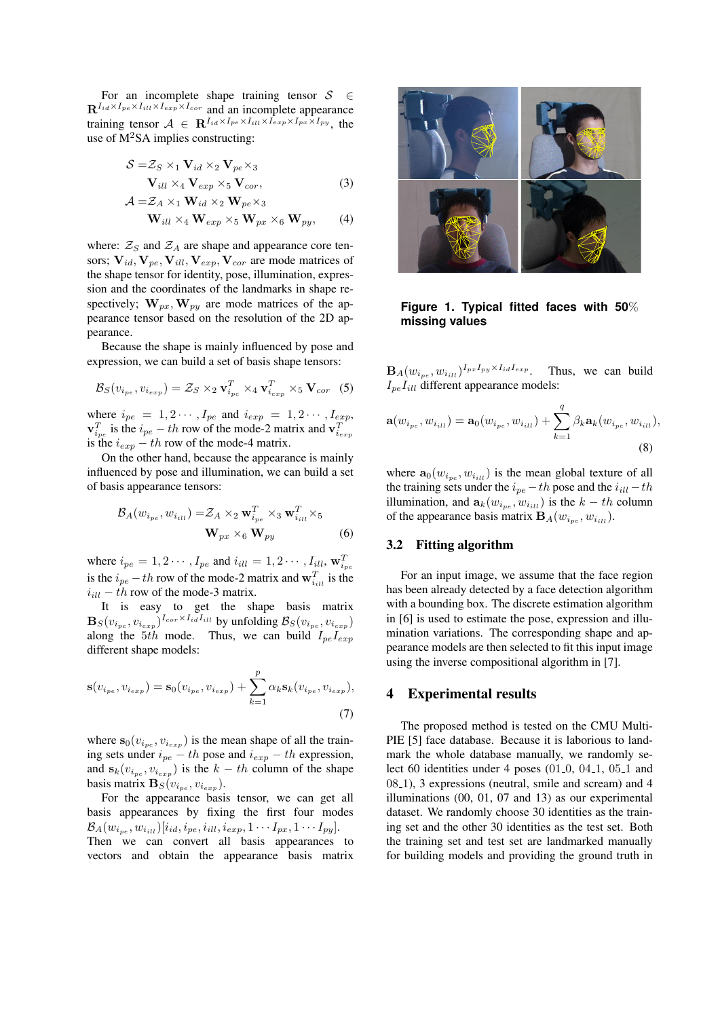For an incomplete shape training tensor *S ∈*  $\mathbf{R}^{I_{id} \times I_{pe} \times I_{ill} \times I_{exp} \times I_{cor}}$  and an incomplete appearance training tensor  $A \in \mathbb{R}^{I_{id} \times I_{pe} \times I_{ill} \times I_{exp} \times I_{px} \times I_{py}}$ , the use of  $M^2SA$  implies constructing:

$$
S = Z_S \times_1 \mathbf{V}_{id} \times_2 \mathbf{V}_{pe} \times_3
$$
  

$$
\mathbf{V}_{ill} \times_4 \mathbf{V}_{exp} \times_5 \mathbf{V}_{cor},
$$
 (3)

$$
\mathcal{A} = \mathcal{Z}_A \times_1 \mathbf{W}_{id} \times_2 \mathbf{W}_{pe} \times_3
$$
  

$$
\mathbf{W}_{ill} \times_4 \mathbf{W}_{exp} \times_5 \mathbf{W}_{px} \times_6 \mathbf{W}_{py},
$$
 (4)

where:  $\mathcal{Z}_S$  and  $\mathcal{Z}_A$  are shape and appearance core tensors;  $V_{id}$ ,  $V_{ne}$ ,  $V_{ill}$ ,  $V_{exp}$ ,  $V_{cor}$  are mode matrices of the shape tensor for identity, pose, illumination, expression and the coordinates of the landmarks in shape respectively;  $\mathbf{W}_{px}$ ,  $\mathbf{W}_{py}$  are mode matrices of the appearance tensor based on the resolution of the 2D appearance.

Because the shape is mainly influenced by pose and expression, we can build a set of basis shape tensors:

$$
\mathcal{B}_S(v_{i_{pe}}, v_{i_{exp}}) = \mathcal{Z}_S \times_2 \mathbf{v}_{i_{pe}}^T \times_4 \mathbf{v}_{i_{exp}}^T \times_5 \mathbf{V}_{cor} \quad (5)
$$

where  $i_{pe} = 1, 2 \cdots, I_{pe}$  and  $i_{exp} = 1, 2 \cdots, I_{exp}$ , **v**<sup>*T*</sup><sub>*i*<sub>exp</sub></sub> is the *i*<sub>pe</sub> *− th* row of the mode-2 matrix and **v**<sup>*T*</sup><sub>*iexp*</sub> is the  $i_{\text{exp}} - th$  row of the mode-4 matrix.

On the other hand, because the appearance is mainly influenced by pose and illumination, we can build a set of basis appearance tensors:

$$
\mathcal{B}_{A}(w_{i_{pe}}, w_{i_{ill}}) = \mathcal{Z}_{A} \times_{2} \mathbf{w}_{i_{pe}}^{T} \times_{3} \mathbf{w}_{i_{ill}}^{T} \times_{5} \mathbf{W}_{p x} \times_{6} \mathbf{W}_{p y}
$$
(6)

where  $i_{pe} = 1, 2 \cdots, I_{pe}$  and  $i_{ill} = 1, 2 \cdots, I_{ill}, \mathbf{w}_{i_{pe}}^T$ is the  $i_{pe} - th$  row of the mode-2 matrix and  $\mathbf{w}_{i_{ill}}^T$  is the  $i_{ill} - th$  row of the mode-3 matrix.

It is easy to get the shape basis matrix  $\mathbf{B}_{S}(v_{i_{pe}}, v_{i_{exp}})^{I_{cor} \times I_{id}I_{ill}}$  by unfolding  $\mathcal{B}_{S}(v_{i_{pe}}, v_{i_{exp}})$ along the 5*th* mode. Thus, we can build  $I_{pe}I_{exp}$ different shape models:

$$
\mathbf{s}(v_{i_{pe}}, v_{i_{exp}}) = \mathbf{s}_0(v_{i_{pe}}, v_{i_{exp}}) + \sum_{k=1}^p \alpha_k \mathbf{s}_k(v_{i_{pe}}, v_{i_{exp}}),
$$
\n(7)

where  $s_0(v_{i_{pe}}, v_{i_{exp}})$  is the mean shape of all the training sets under  $i_{pe} - th$  pose and  $i_{exp} - th$  expression, and  $\mathbf{s}_k(v_{i_{pe}}, v_{i_{exp}})$  is the  $k - th$  column of the shape basis matrix  $\mathbf{B}_{S}(v_{i_{pe}}, v_{i_{exp}})$ .

For the appearance basis tensor, we can get all basis appearances by fixing the first four modes  $\mathcal{B}_{A}(w_{i_{pe}},w_{i_{ill}})[i_{id},i_{pe},i_{ill},i_{exp},1\cdots I_{px},1\cdots I_{py}].$ 

Then we can convert all basis appearances to vectors and obtain the appearance basis matrix



**Figure 1. Typical fitted faces with 50**% **missing values**

 $\mathbf{B}_{A}(w_{i_{pe}}, w_{i_{ill}})^{I_{px}I_{py} \times I_{id}I_{exp}}$ . Thus, we can build  $I_{pe}I_{ill}$  different appearance models:

$$
\mathbf{a}(w_{i_{pe}}, w_{i_{ill}}) = \mathbf{a}_0(w_{i_{pe}}, w_{i_{ill}}) + \sum_{k=1}^{q} \beta_k \mathbf{a}_k(w_{i_{pe}}, w_{i_{ill}}),
$$
\n(8)

where  $\mathbf{a}_0(w_{i_{pe}}, w_{i_{ill}})$  is the mean global texture of all the training sets under the  $i_{pe} - th$  pose and the  $i_{ill} - th$ illumination, and  $\mathbf{a}_k(w_{i_{pe}}, w_{i_{ill}})$  is the  $k - th$  column of the appearance basis matrix  $\mathbf{B}_{A}(w_{i_{pe}}, w_{i_{ill}})$ .

### 3.2 Fitting algorithm

For an input image, we assume that the face region has been already detected by a face detection algorithm with a bounding box. The discrete estimation algorithm in [6] is used to estimate the pose, expression and illumination variations. The corresponding shape and appearance models are then selected to fit this input image using the inverse compositional algorithm in [7].

### 4 Experimental results

The proposed method is tested on the CMU Multi-PIE [5] face database. Because it is laborious to landmark the whole database manually, we randomly select 60 identities under 4 poses  $(01.0, 04.1, 05.1, 04.1)$ 08 1), 3 expressions (neutral, smile and scream) and 4 illuminations (00, 01, 07 and 13) as our experimental dataset. We randomly choose 30 identities as the training set and the other 30 identities as the test set. Both the training set and test set are landmarked manually for building models and providing the ground truth in